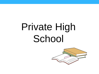## Private High School

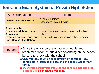## **Entrance Exam System of Private High School**

| <b>Admission Method</b>                                                                                                                      | content                                                                                                  |
|----------------------------------------------------------------------------------------------------------------------------------------------|----------------------------------------------------------------------------------------------------------|
| <b>General Entrance Exam</b>                                                                                                                 | <b>Almost 3 subjects</b><br>Japanese, Math, English                                                      |
| <b>Admission by</b><br><b>Recommendation - Single</b><br><b>Application</b><br>(Tangan Suisen - For your<br><b>First Choice High School)</b> | If you pass, make promise to go to that high<br>school.<br>Consult with your junior high school teacher. |

important! ★Since the entrance examination schedule and recommendation criteria differ depending on the school, be sure to check with the school.

> ★**Once you decide which school you want to attend, let's participate in information sessions and open classes many times.**

★ **Due to the coronavirus this year, the schedule has not been decided yet, so check the websites.**